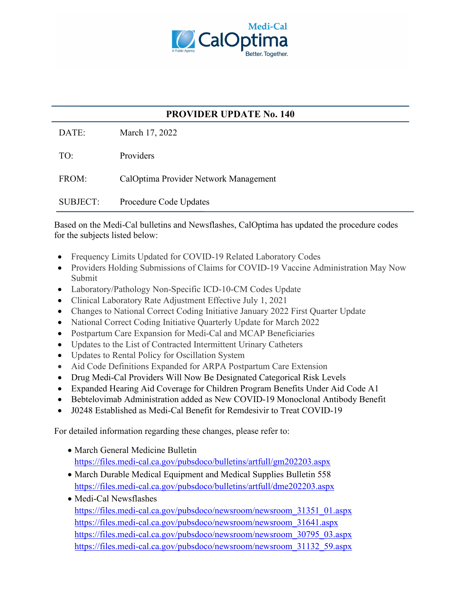

## **PROVIDER UPDATE No. 140**

DATE: March 17, 2022

TO: Providers FROM: CalOptima Provider Network Management SUBJECT: Procedure Code Updates

Based on the Medi-Cal bulletins and Newsflashes, CalOptima has updated the procedure codes for the subjects listed below:

- Frequency Limits Updated for COVID-19 Related Laboratory Codes
- Providers Holding Submissions of Claims for COVID-19 Vaccine Administration May Now Submit
- Laboratory/Pathology Non-Specific ICD-10-CM Codes Update
- Clinical Laboratory Rate Adjustment Effective July 1, 2021
- Changes to National Correct Coding Initiative January 2022 First Quarter Update
- National Correct Coding Initiative Quarterly Update for March 2022
- Postpartum Care Expansion for Medi-Cal and MCAP Beneficiaries
- Updates to the List of Contracted Intermittent Urinary Catheters
- Updates to Rental Policy for Oscillation System
- Aid Code Definitions Expanded for ARPA Postpartum Care Extension
- Drug Medi-Cal Providers Will Now Be Designated Categorical Risk Levels
- Expanded Hearing Aid Coverage for Children Program Benefits Under Aid Code A1
- Bebtelovimab Administration added as New COVID-19 Monoclonal Antibody Benefit
- J0248 Established as Medi-Cal Benefit for Remdesivir to Treat COVID-19

For detailed information regarding these changes, please refer to:

- March General Medicine Bulletin <https://files.medi-cal.ca.gov/pubsdoco/bulletins/artfull/gm202203.aspx>
- March Durable Medical Equipment and Medical Supplies Bulletin 558 <https://files.medi-cal.ca.gov/pubsdoco/bulletins/artfull/dme202203.aspx>
- Medi-Cal Newsflashes [https://files.medi-cal.ca.gov/pubsdoco/newsroom/newsroom\\_31351\\_01.aspx](https://files.medi-cal.ca.gov/pubsdoco/newsroom/newsroom_31351_01.aspx)  [https://files.medi-cal.ca.gov/pubsdoco/newsroom/newsroom\\_31641.aspx](https://files.medi-cal.ca.gov/pubsdoco/newsroom/newsroom_31641.aspx)  [https://files.medi-cal.ca.gov/pubsdoco/newsroom/newsroom\\_30795\\_03.aspx](https://files.medi-cal.ca.gov/pubsdoco/newsroom/newsroom_30795_03.aspx)  [https://files.medi-cal.ca.gov/pubsdoco/newsroom/newsroom\\_31132\\_59.aspx](https://files.medi-cal.ca.gov/pubsdoco/newsroom/newsroom_31132_59.aspx)